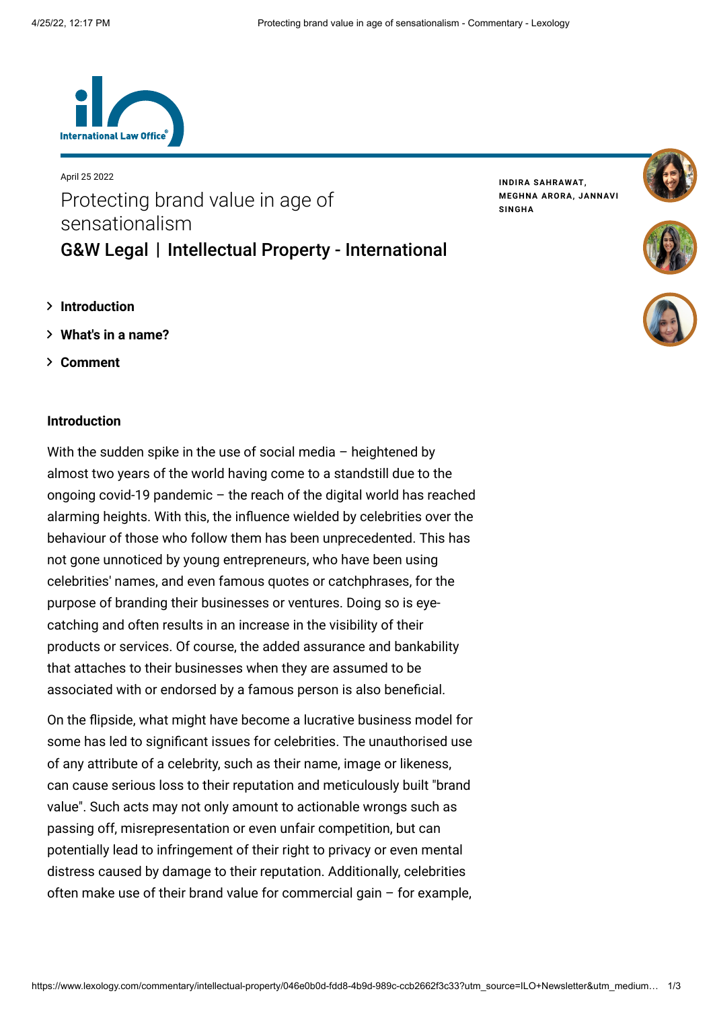

# April 25 2022 Protecting brand value in age of sensationalism [G&W Legal](https://www.lexology.com/contributors/1270760) | Intellectual Property - International

**INDIRA [SAHRAWAT](https://www.lexology.com/1270760/author/Indira_Sahrawat/), [MEGHNA](https://www.lexology.com/1270760/author/Meghna_Arora/) ARORA, [JANNAVI](https://www.lexology.com/1270760/author/Jannavi_Singha/) SINGHA**





- **[Introduction](#page-0-0)**
- **[What's in a name?](#page-1-0)**
- **[Comment](#page-1-1)**

## <span id="page-0-0"></span>**Introduction**

With the sudden spike in the use of social media  $-$  heightened by almost two years of the world having come to a standstill due to the ongoing covid-19 pandemic – the reach of the digital world has reached alarming heights. With this, the influence wielded by celebrities over the behaviour of those who follow them has been unprecedented. This has not gone unnoticed by young entrepreneurs, who have been using celebrities' names, and even famous quotes or catchphrases, for the purpose of branding their businesses or ventures. Doing so is eyecatching and often results in an increase in the visibility of their products or services. Of course, the added assurance and bankability that attaches to their businesses when they are assumed to be associated with or endorsed by a famous person is also beneficial.

On the flipside, what might have become a lucrative business model for some has led to significant issues for celebrities. The unauthorised use of any attribute of a celebrity, such as their name, image or likeness, can cause serious loss to their reputation and meticulously built "brand value". Such acts may not only amount to actionable wrongs such as passing off, misrepresentation or even unfair competition, but can potentially lead to infringement of their right to privacy or even mental distress caused by damage to their reputation. Additionally, celebrities often make use of their brand value for commercial gain – for example,

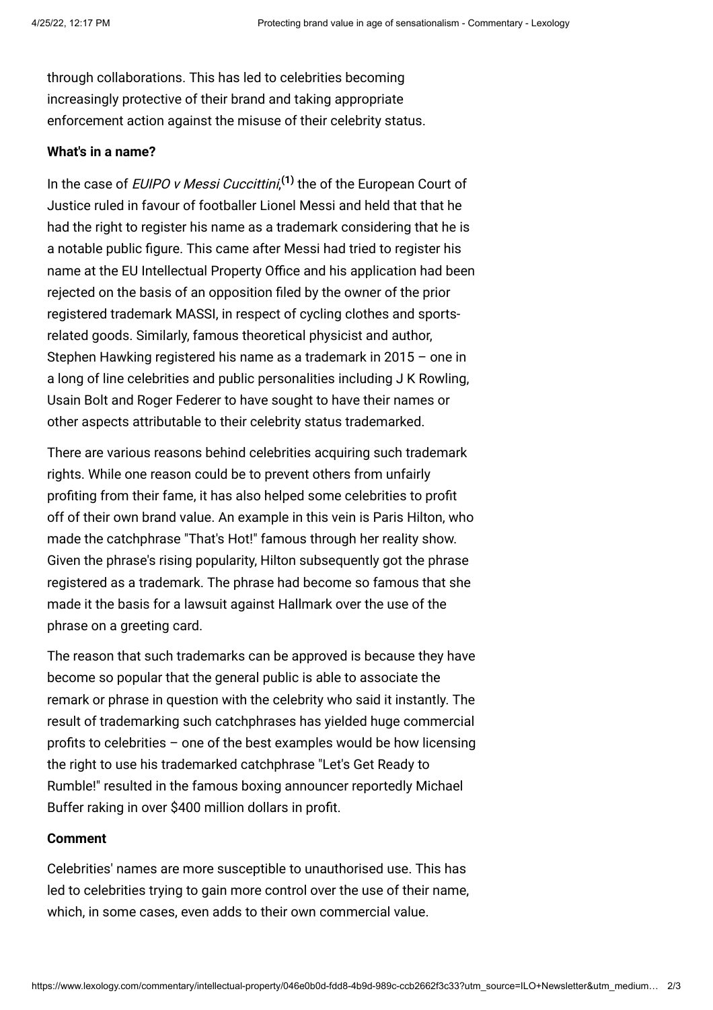through collaborations. This has led to celebrities becoming increasingly protective of their brand and taking appropriate enforcement action against the misuse of their celebrity status.

# <span id="page-1-0"></span>**What's in a name?**

In the case of EUIPO v Messi Cuccittini, **[\(1\)](#page-2-0)** the of the European Court of Justice ruled in favour of footballer Lionel Messi and held that that he had the right to register his name as a trademark considering that he is a notable public figure. This came after Messi had tried to register his name at the EU Intellectual Property Office and his application had been rejected on the basis of an opposition filed by the owner of the prior registered trademark MASSI, in respect of cycling clothes and sportsrelated goods. Similarly, famous theoretical physicist and author, Stephen Hawking registered his name as a trademark in 2015 – one in a long of line celebrities and public personalities including J K Rowling, Usain Bolt and Roger Federer to have sought to have their names or other aspects attributable to their celebrity status trademarked.

There are various reasons behind celebrities acquiring such trademark rights. While one reason could be to prevent others from unfairly profiting from their fame, it has also helped some celebrities to profit off of their own brand value. An example in this vein is Paris Hilton, who made the catchphrase "That's Hot!" famous through her reality show. Given the phrase's rising popularity, Hilton subsequently got the phrase registered as a trademark. The phrase had become so famous that she made it the basis for a lawsuit against Hallmark over the use of the phrase on a greeting card.

The reason that such trademarks can be approved is because they have become so popular that the general public is able to associate the remark or phrase in question with the celebrity who said it instantly. The result of trademarking such catchphrases has yielded huge commercial profits to celebrities – one of the best examples would be how licensing the right to use his trademarked catchphrase "Let's Get Ready to Rumble!" resulted in the famous boxing announcer reportedly Michael Buffer raking in over \$400 million dollars in profit.

#### <span id="page-1-1"></span>**Comment**

Celebrities' names are more susceptible to unauthorised use. This has led to celebrities trying to gain more control over the use of their name, which, in some cases, even adds to their own commercial value.